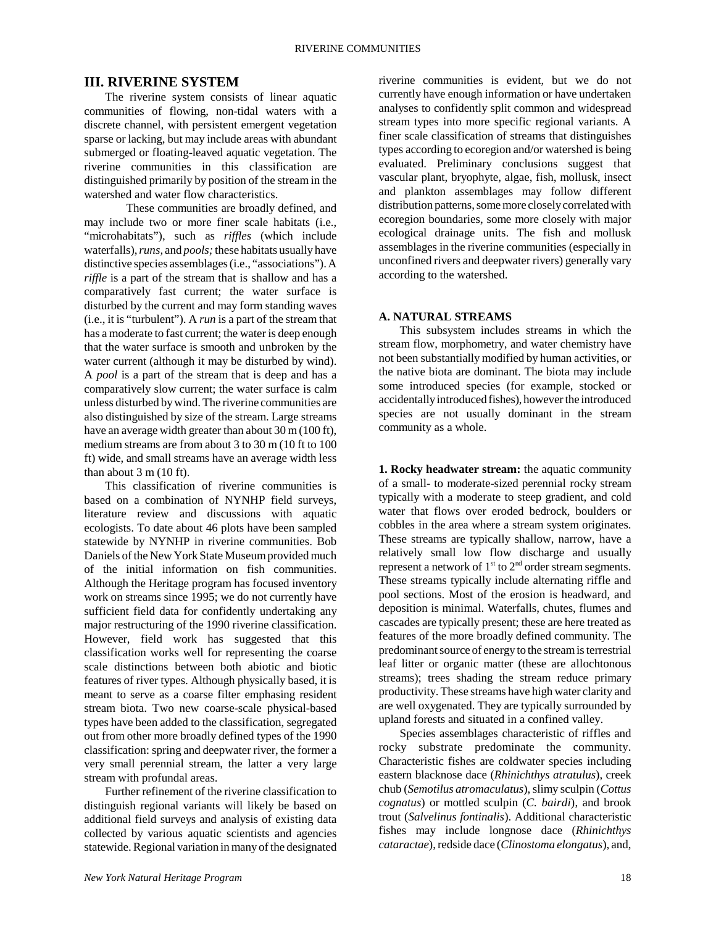## **III. RIVERINE SYSTEM**

The riverine system consists of linear aquatic communities of flowing, non-tidal waters with a discrete channel, with persistent emergent vegetation sparse or lacking, but may include areas with abundant submerged or floating-leaved aquatic vegetation. The riverine communities in this classification are distinguished primarily by position of the stream in the watershed and water flow characteristics.

These communities are broadly defined, and may include two or more finer scale habitats (i.e., "microhabitats"), such as *riffles* (which include waterfalls), *runs,* and *pools;* these habitats usually have distinctive species assemblages (i.e., "associations"). A *riffle* is a part of the stream that is shallow and has a comparatively fast current; the water surface is disturbed by the current and may form standing waves (i.e., it is "turbulent"). A *run* is a part of the stream that has a moderate to fast current; the water is deep enough that the water surface is smooth and unbroken by the water current (although it may be disturbed by wind). A *pool* is a part of the stream that is deep and has a comparatively slow current; the water surface is calm unless disturbed by wind. The riverine communities are also distinguished by size of the stream. Large streams have an average width greater than about 30 m (100 ft), medium streams are from about 3 to 30 m (10 ft to 100 ft) wide, and small streams have an average width less than about 3 m (10 ft).

This classification of riverine communities is based on a combination of NYNHP field surveys, literature review and discussions with aquatic ecologists. To date about 46 plots have been sampled statewide by NYNHP in riverine communities. Bob Daniels of the New York State Museum provided much of the initial information on fish communities. Although the Heritage program has focused inventory work on streams since 1995; we do not currently have sufficient field data for confidently undertaking any major restructuring of the 1990 riverine classification. However, field work has suggested that this classification works well for representing the coarse scale distinctions between both abiotic and biotic features of river types. Although physically based, it is meant to serve as a coarse filter emphasing resident stream biota. Two new coarse-scale physical-based types have been added to the classification, segregated out from other more broadly defined types of the 1990 classification: spring and deepwater river, the former a very small perennial stream, the latter a very large stream with profundal areas.

Further refinement of the riverine classification to distinguish regional variants will likely be based on additional field surveys and analysis of existing data collected by various aquatic scientists and agencies statewide. Regional variation in many of the designated riverine communities is evident, but we do not currently have enough information or have undertaken analyses to confidently split common and widespread stream types into more specific regional variants. A finer scale classification of streams that distinguishes types according to ecoregion and/or watershed is being evaluated. Preliminary conclusions suggest that vascular plant, bryophyte, algae, fish, mollusk, insect and plankton assemblages may follow different distribution patterns, some more closely correlated with ecoregion boundaries, some more closely with major ecological drainage units. The fish and mollusk assemblages in the riverine communities (especially in unconfined rivers and deepwater rivers) generally vary according to the watershed.

## **A. NATURAL STREAMS**

This subsystem includes streams in which the stream flow, morphometry, and water chemistry have not been substantially modified by human activities, or the native biota are dominant. The biota may include some introduced species (for example, stocked or accidentally introduced fishes), however the introduced species are not usually dominant in the stream community as a whole.

**1. Rocky headwater stream:** the aquatic community of a small- to moderate-sized perennial rocky stream typically with a moderate to steep gradient, and cold water that flows over eroded bedrock, boulders or cobbles in the area where a stream system originates. These streams are typically shallow, narrow, have a relatively small low flow discharge and usually represent a network of  $1<sup>st</sup>$  to  $2<sup>nd</sup>$  order stream segments. These streams typically include alternating riffle and pool sections. Most of the erosion is headward, and deposition is minimal. Waterfalls, chutes, flumes and cascades are typically present; these are here treated as features of the more broadly defined community. The predominant source of energy to the stream is terrestrial leaf litter or organic matter (these are allochtonous streams); trees shading the stream reduce primary productivity. These streams have high water clarity and are well oxygenated. They are typically surrounded by upland forests and situated in a confined valley.

Species assemblages characteristic of riffles and rocky substrate predominate the community. Characteristic fishes are coldwater species including eastern blacknose dace (*Rhinichthys atratulus*), creek chub (*Semotilus atromaculatus*), slimy sculpin (*Cottus cognatus*) or mottled sculpin (*C. bairdi*), and brook trout (*Salvelinus fontinalis*). Additional characteristic fishes may include longnose dace (*Rhinichthys cataractae*), redside dace (*Clinostoma elongatus*), and,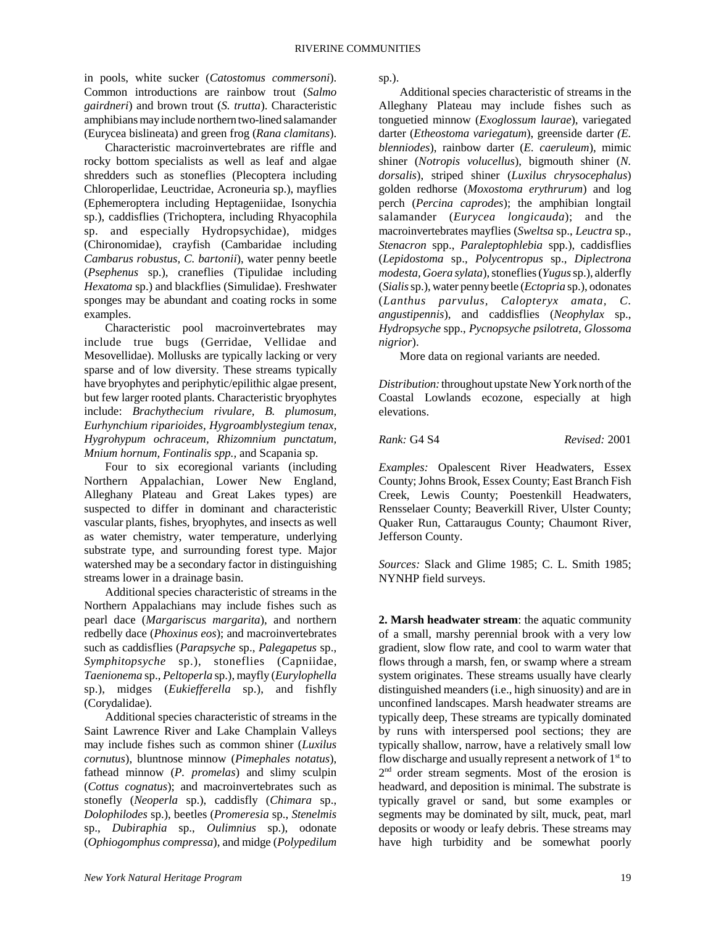in pools, white sucker (*Catostomus commersoni*). Common introductions are rainbow trout (*Salmo gairdneri*) and brown trout (*S. trutta*). Characteristic amphibians may include northern two-lined salamander (Eurycea bislineata) and green frog (*Rana clamitans*).

Characteristic macroinvertebrates are riffle and rocky bottom specialists as well as leaf and algae shredders such as stoneflies (Plecoptera including Chloroperlidae, Leuctridae, Acroneuria sp.), mayflies (Ephemeroptera including Heptageniidae, Isonychia sp.), caddisflies (Trichoptera, including Rhyacophila sp. and especially Hydropsychidae), midges (Chironomidae), crayfish (Cambaridae including *Cambarus robustus, C. bartonii*), water penny beetle (*Psephenus* sp.), craneflies (Tipulidae including *Hexatoma* sp.) and blackflies (Simulidae). Freshwater sponges may be abundant and coating rocks in some examples.

Characteristic pool macroinvertebrates may include true bugs (Gerridae, Vellidae and Mesovellidae). Mollusks are typically lacking or very sparse and of low diversity. These streams typically have bryophytes and periphytic/epilithic algae present, but few larger rooted plants. Characteristic bryophytes include: *Brachythecium rivulare, B. plumosum, Eurhynchium riparioides, Hygroamblystegium tenax, Hygrohypum ochraceum, Rhizomnium punctatum, Mnium hornum, Fontinalis spp.,* and Scapania sp.

Four to six ecoregional variants (including Northern Appalachian, Lower New England, Alleghany Plateau and Great Lakes types) are suspected to differ in dominant and characteristic vascular plants, fishes, bryophytes, and insects as well as water chemistry, water temperature, underlying substrate type, and surrounding forest type. Major watershed may be a secondary factor in distinguishing streams lower in a drainage basin.

Additional species characteristic of streams in the Northern Appalachians may include fishes such as pearl dace (*Margariscus margarita*), and northern redbelly dace (*Phoxinus eos*); and macroinvertebrates such as caddisflies (*Parapsyche* sp., *Palegapetus* sp., *Symphitopsyche* sp.), stoneflies (Capniidae, *Taenionema* sp., *Peltoperla* sp.), mayfly (*Eurylophella* sp.), midges (*Eukiefferella* sp.), and fishfly (Corydalidae).

Additional species characteristic of streams in the Saint Lawrence River and Lake Champlain Valleys may include fishes such as common shiner (*Luxilus cornutus*), bluntnose minnow (*Pimephales notatus*), fathead minnow (*P. promelas*) and slimy sculpin (*Cottus cognatus*); and macroinvertebrates such as stonefly (*Neoperla* sp.), caddisfly (*Chimara* sp., *Dolophilodes* sp.), beetles (*Promeresia* sp., *Stenelmis* sp., *Dubiraphia* sp., *Oulimnius* sp.), odonate (*Ophiogomphus compressa*), and midge (*Polypedilum*

Additional species characteristic of streams in the Alleghany Plateau may include fishes such as tonguetied minnow (*Exoglossum laurae*), variegated darter (*Etheostoma variegatum*), greenside darter *(E. blenniodes*), rainbow darter (*E. caeruleum*), mimic shiner (*Notropis volucellus*), bigmouth shiner (*N. dorsalis*), striped shiner (*Luxilus chrysocephalus*) golden redhorse (*Moxostoma erythrurum*) and log perch (*Percina caprodes*); the amphibian longtail salamander (*Eurycea longicauda*); and the macroinvertebrates mayflies (*Sweltsa* sp., *Leuctra* sp., *Stenacron* spp., *Paraleptophlebia* spp.), caddisflies (*Lepidostoma* sp., *Polycentropus* sp., *Diplectrona modesta, Goera sylata*), stoneflies (*Yugus* sp.), alderfly (*Sialis* sp.), water penny beetle (*Ectopria* sp.), odonates (*Lanthus parvulus, Calopteryx amata, C. angustipennis*), and caddisflies (*Neophylax* sp., *Hydropsyche* spp., *Pycnopsyche psilotreta, Glossoma nigrior*).

More data on regional variants are needed.

*Distribution:* throughout upstate New York north of the Coastal Lowlands ecozone, especially at high elevations.

*Rank:* G4 S4 *Revised:* 2001

*Examples:* Opalescent River Headwaters, Essex County; Johns Brook, Essex County; East Branch Fish Creek, Lewis County; Poestenkill Headwaters, Rensselaer County; Beaverkill River, Ulster County; Quaker Run, Cattaraugus County; Chaumont River, Jefferson County.

*Sources:* Slack and Glime 1985; C. L. Smith 1985; NYNHP field surveys.

**2. Marsh headwater stream**: the aquatic community of a small, marshy perennial brook with a very low gradient, slow flow rate, and cool to warm water that flows through a marsh, fen, or swamp where a stream system originates. These streams usually have clearly distinguished meanders (i.e., high sinuosity) and are in unconfined landscapes. Marsh headwater streams are typically deep, These streams are typically dominated by runs with interspersed pool sections; they are typically shallow, narrow, have a relatively small low flow discharge and usually represent a network of  $1<sup>st</sup>$  to 2<sup>nd</sup> order stream segments. Most of the erosion is headward, and deposition is minimal. The substrate is typically gravel or sand, but some examples or segments may be dominated by silt, muck, peat, marl deposits or woody or leafy debris. These streams may have high turbidity and be somewhat poorly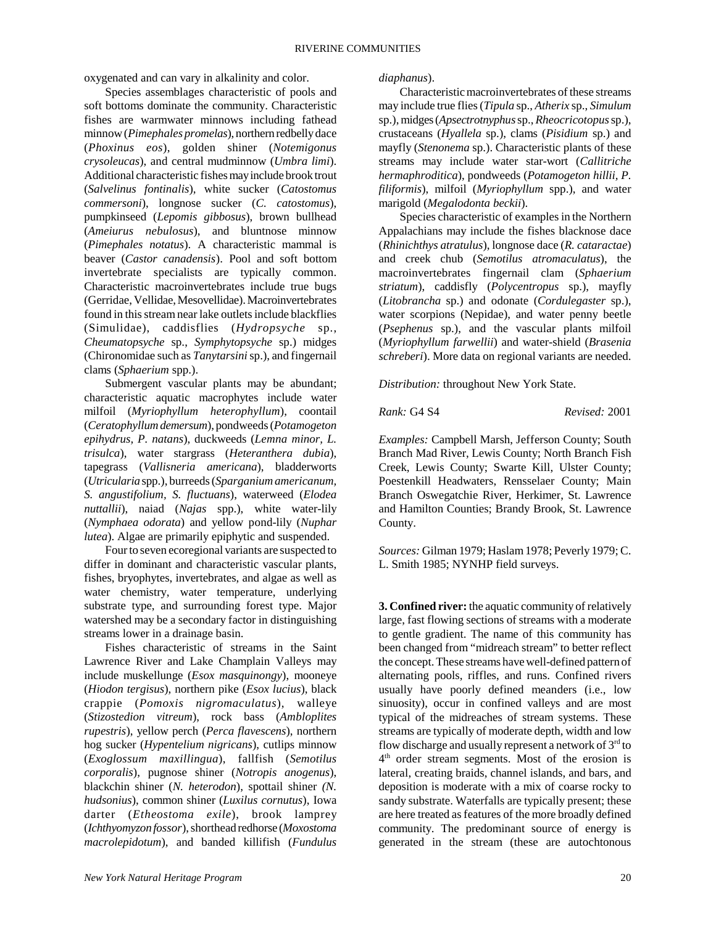oxygenated and can vary in alkalinity and color.

Species assemblages characteristic of pools and soft bottoms dominate the community. Characteristic fishes are warmwater minnows including fathead minnow (*Pimephales promelas*), northern redbelly dace (*Phoxinus eos*), golden shiner (*Notemigonus crysoleucas*), and central mudminnow (*Umbra limi*). Additional characteristic fishes may include brook trout (*Salvelinus fontinalis*), white sucker (*Catostomus commersoni*), longnose sucker (*C. catostomus*), pumpkinseed (*Lepomis gibbosus*), brown bullhead (*Ameiurus nebulosus*), and bluntnose minnow (*Pimephales notatus*). A characteristic mammal is beaver (*Castor canadensis*). Pool and soft bottom invertebrate specialists are typically common. Characteristic macroinvertebrates include true bugs (Gerridae, Vellidae, Mesovellidae). Macroinvertebrates found in this stream near lake outlets include blackflies (Simulidae), caddisflies (*Hydropsyche* sp., *Cheumatopsyche* sp., *Symphytopsyche* sp.) midges (Chironomidae such as *Tanytarsini* sp.), and fingernail clams (*Sphaerium* spp.).

Submergent vascular plants may be abundant; characteristic aquatic macrophytes include water milfoil (*Myriophyllum heterophyllum*), coontail (*Ceratophyllum demersum*), pondweeds (*Potamogeton epihydrus, P. natans*), duckweeds (*Lemna minor, L. trisulca*), water stargrass (*Heteranthera dubia*), tapegrass (*Vallisneria americana*), bladderworts (*Utricularia* spp.), burreeds (*Sparganium americanum, S. angustifolium, S. fluctuans*), waterweed (*Elodea nuttallii*), naiad (*Najas* spp.), white water-lily (*Nymphaea odorata*) and yellow pond-lily (*Nuphar lutea*). Algae are primarily epiphytic and suspended.

Four to seven ecoregional variants are suspected to differ in dominant and characteristic vascular plants, fishes, bryophytes, invertebrates, and algae as well as water chemistry, water temperature, underlying substrate type, and surrounding forest type. Major watershed may be a secondary factor in distinguishing streams lower in a drainage basin.

Fishes characteristic of streams in the Saint Lawrence River and Lake Champlain Valleys may include muskellunge (*Esox masquinongy*), mooneye (*Hiodon tergisus*), northern pike (*Esox lucius*), black crappie (*Pomoxis nigromaculatus*), walleye (*Stizostedion vitreum*), rock bass (*Ambloplites rupestris*), yellow perch (*Perca flavescens*), northern hog sucker (*Hypentelium nigricans*), cutlips minnow (*Exoglossum maxillingua*), fallfish (*Semotilus corporalis*), pugnose shiner (*Notropis anogenus*), blackchin shiner (*N. heterodon*), spottail shiner *(N. hudsonius*), common shiner (*Luxilus cornutus*), Iowa darter (*Etheostoma exile*), brook lamprey (*Ichthyomyzon fossor*), shorthead redhorse (*Moxostoma macrolepidotum*), and banded killifish (*Fundulus*

*diaphanus*).

Characteristic macroinvertebrates of these streams may include true flies (*Tipula* sp., *Atherix* sp., *Simulum* sp.), midges (*Apsectrotnyphus* sp., *Rheocricotopus* sp.), crustaceans (*Hyallela* sp.), clams (*Pisidium* sp.) and mayfly (*Stenonema* sp.). Characteristic plants of these streams may include water star-wort (*Callitriche hermaphroditica*), pondweeds (*Potamogeton hillii, P. filiformis*), milfoil (*Myriophyllum* spp.), and water marigold (*Megalodonta beckii*).

Species characteristic of examples in the Northern Appalachians may include the fishes blacknose dace (*Rhinichthys atratulus*), longnose dace (*R. cataractae*) and creek chub (*Semotilus atromaculatus*), the macroinvertebrates fingernail clam (*Sphaerium striatum*), caddisfly (*Polycentropus* sp.), mayfly (*Litobrancha* sp.) and odonate (*Cordulegaster* sp.), water scorpions (Nepidae), and water penny beetle (*Psephenus* sp.), and the vascular plants milfoil (*Myriophyllum farwellii*) and water-shield (*Brasenia schreberi*). More data on regional variants are needed.

*Distribution:* throughout New York State.

*Rank:* G4 S4 *Revised:* 2001

*Examples:* Campbell Marsh, Jefferson County; South Branch Mad River, Lewis County; North Branch Fish Creek, Lewis County; Swarte Kill, Ulster County; Poestenkill Headwaters, Rensselaer County; Main Branch Oswegatchie River, Herkimer, St. Lawrence and Hamilton Counties; Brandy Brook, St. Lawrence County.

*Sources:* Gilman 1979; Haslam 1978; Peverly 1979; C. L. Smith 1985; NYNHP field surveys.

**3. Confined river:** the aquatic community of relatively large, fast flowing sections of streams with a moderate to gentle gradient. The name of this community has been changed from "midreach stream" to better reflect the concept. These streams have well-defined pattern of alternating pools, riffles, and runs. Confined rivers usually have poorly defined meanders (i.e., low sinuosity), occur in confined valleys and are most typical of the midreaches of stream systems. These streams are typically of moderate depth, width and low flow discharge and usually represent a network of  $3<sup>rd</sup>$  to 4th order stream segments. Most of the erosion is lateral, creating braids, channel islands, and bars, and deposition is moderate with a mix of coarse rocky to sandy substrate. Waterfalls are typically present; these are here treated as features of the more broadly defined community. The predominant source of energy is generated in the stream (these are autochtonous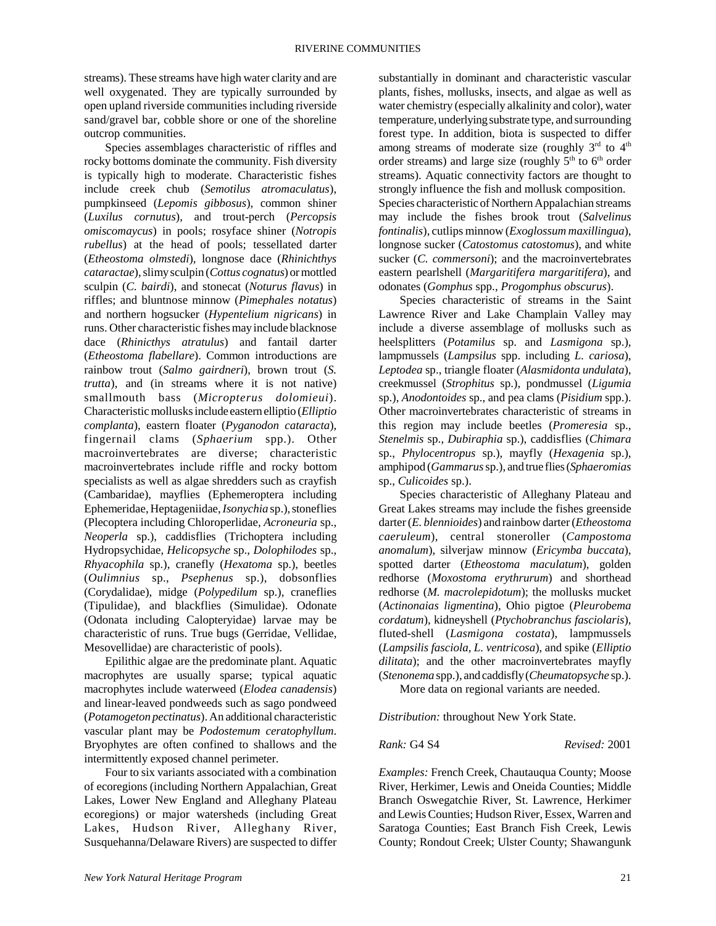streams). These streams have high water clarity and are well oxygenated. They are typically surrounded by open upland riverside communities including riverside sand/gravel bar, cobble shore or one of the shoreline outcrop communities.

Species assemblages characteristic of riffles and rocky bottoms dominate the community. Fish diversity is typically high to moderate. Characteristic fishes include creek chub (*Semotilus atromaculatus*), pumpkinseed (*Lepomis gibbosus*), common shiner (*Luxilus cornutus*), and trout-perch (*Percopsis omiscomaycus*) in pools; rosyface shiner (*Notropis rubellus*) at the head of pools; tessellated darter (*Etheostoma olmstedi*), longnose dace (*Rhinichthys cataractae*), slimy sculpin (*Cottus cognatus*) or mottled sculpin (*C. bairdi*), and stonecat (*Noturus flavus*) in riffles; and bluntnose minnow (*Pimephales notatus*) and northern hogsucker (*Hypentelium nigricans*) in runs. Other characteristic fishes may include blacknose dace (*Rhinicthys atratulus*) and fantail darter (*Etheostoma flabellare*). Common introductions are rainbow trout (*Salmo gairdneri*), brown trout (*S. trutta*), and (in streams where it is not native) smallmouth bass (*Micropterus dolomieui*). Characteristic mollusks include eastern elliptio (*Elliptio complanta*), eastern floater (*Pyganodon cataracta*), fingernail clams (*Sphaerium* spp.). Other macroinvertebrates are diverse; characteristic macroinvertebrates include riffle and rocky bottom specialists as well as algae shredders such as crayfish (Cambaridae), mayflies (Ephemeroptera including Ephemeridae, Heptageniidae, *Isonychia* sp.), stoneflies (Plecoptera including Chloroperlidae, *Acroneuria* sp., *Neoperla* sp.), caddisflies (Trichoptera including Hydropsychidae, *Helicopsyche* sp., *Dolophilodes* sp., *Rhyacophila* sp.), cranefly (*Hexatoma* sp.), beetles (*Oulimnius* sp., *Psephenus* sp.), dobsonflies (Corydalidae), midge (*Polypedilum* sp.), craneflies (Tipulidae), and blackflies (Simulidae). Odonate (Odonata including Calopteryidae) larvae may be characteristic of runs. True bugs (Gerridae, Vellidae, Mesovellidae) are characteristic of pools).

Epilithic algae are the predominate plant. Aquatic macrophytes are usually sparse; typical aquatic macrophytes include waterweed (*Elodea canadensis*) and linear-leaved pondweeds such as sago pondweed (*Potamogeton pectinatus*). An additional characteristic vascular plant may be *Podostemum ceratophyllum*. Bryophytes are often confined to shallows and the intermittently exposed channel perimeter.

Four to six variants associated with a combination of ecoregions (including Northern Appalachian, Great Lakes, Lower New England and Alleghany Plateau ecoregions) or major watersheds (including Great Lakes, Hudson River, Alleghany River, Susquehanna/Delaware Rivers) are suspected to differ

substantially in dominant and characteristic vascular plants, fishes, mollusks, insects, and algae as well as water chemistry (especially alkalinity and color), water temperature, underlying substrate type, and surrounding forest type. In addition, biota is suspected to differ among streams of moderate size (roughly  $3<sup>rd</sup>$  to  $4<sup>th</sup>$ order streams) and large size (roughly  $5<sup>th</sup>$  to  $6<sup>th</sup>$  order streams). Aquatic connectivity factors are thought to strongly influence the fish and mollusk composition. Species characteristic of Northern Appalachian streams may include the fishes brook trout (*Salvelinus fontinalis*), cutlips minnow (*Exoglossum maxillingua*), longnose sucker (*Catostomus catostomus*), and white sucker (*C. commersoni*); and the macroinvertebrates eastern pearlshell (*Margaritifera margaritifera*), and odonates (*Gomphus* spp., *Progomphus obscurus*).

Species characteristic of streams in the Saint Lawrence River and Lake Champlain Valley may include a diverse assemblage of mollusks such as heelsplitters (*Potamilus* sp. and *Lasmigona* sp.), lampmussels (*Lampsilus* spp. including *L. cariosa*), *Leptodea* sp., triangle floater (*Alasmidonta undulata*), creekmussel (*Strophitus* sp.), pondmussel (*Ligumia* sp.), *Anodontoides* sp., and pea clams (*Pisidium* spp.). Other macroinvertebrates characteristic of streams in this region may include beetles (*Promeresia* sp., *Stenelmis* sp., *Dubiraphia* sp.), caddisflies (*Chimara* sp., *Phylocentropus* sp.), mayfly (*Hexagenia* sp.), amphipod (*Gammarus* sp.), and true flies (*Sphaeromias* sp., *Culicoides* sp.).

Species characteristic of Alleghany Plateau and Great Lakes streams may include the fishes greenside darter (*E. blennioides*) and rainbow darter (*Etheostoma caeruleum*), central stoneroller (*Campostoma anomalum*), silverjaw minnow (*Ericymba buccata*), spotted darter (*Etheostoma maculatum*), golden redhorse (*Moxostoma erythrurum*) and shorthead redhorse (*M. macrolepidotum*); the mollusks mucket (*Actinonaias ligmentina*), Ohio pigtoe (*Pleurobema cordatum*), kidneyshell (*Ptychobranchus fasciolaris*), fluted-shell (*Lasmigona costata*), lampmussels (*Lampsilis fasciola, L. ventricosa*), and spike (*Elliptio dilitata*); and the other macroinvertebrates mayfly (*Stenonema* spp.), and caddisfly (*Cheumatopsyche* sp.).

More data on regional variants are needed.

*Distribution:* throughout New York State.

*Rank:* G4 S4 *Revised:* 2001

*Examples:* French Creek, Chautauqua County; Moose River, Herkimer, Lewis and Oneida Counties; Middle Branch Oswegatchie River, St. Lawrence, Herkimer and Lewis Counties; Hudson River, Essex, Warren and Saratoga Counties; East Branch Fish Creek, Lewis County; Rondout Creek; Ulster County; Shawangunk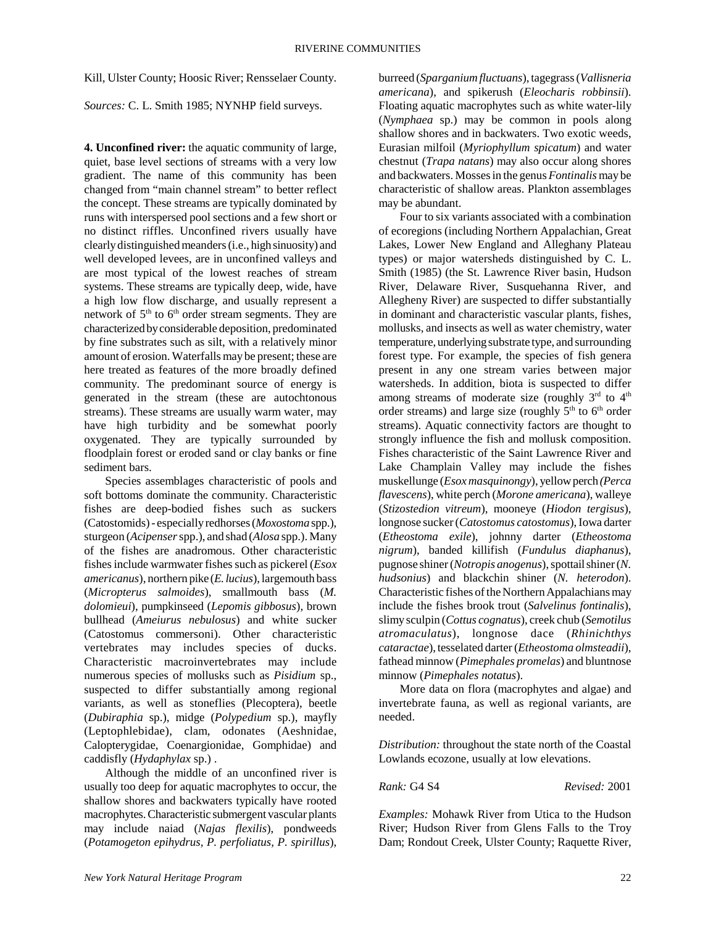Kill, Ulster County; Hoosic River; Rensselaer County.

*Sources:* C. L. Smith 1985; NYNHP field surveys.

**4. Unconfined river:** the aquatic community of large, quiet, base level sections of streams with a very low gradient. The name of this community has been changed from "main channel stream" to better reflect the concept. These streams are typically dominated by runs with interspersed pool sections and a few short or no distinct riffles. Unconfined rivers usually have clearly distinguished meanders (i.e., high sinuosity) and well developed levees, are in unconfined valleys and are most typical of the lowest reaches of stream systems. These streams are typically deep, wide, have a high low flow discharge, and usually represent a network of  $5<sup>th</sup>$  to  $6<sup>th</sup>$  order stream segments. They are characterized by considerable deposition, predominated by fine substrates such as silt, with a relatively minor amount of erosion. Waterfalls may be present; these are here treated as features of the more broadly defined community. The predominant source of energy is generated in the stream (these are autochtonous streams). These streams are usually warm water, may have high turbidity and be somewhat poorly oxygenated. They are typically surrounded by floodplain forest or eroded sand or clay banks or fine sediment bars.

Species assemblages characteristic of pools and soft bottoms dominate the community. Characteristic fishes are deep-bodied fishes such as suckers (Catostomids) - especially redhorses (*Moxostoma* spp.), sturgeon (*Acipenser* spp.), and shad (*Alosa* spp.). Many of the fishes are anadromous. Other characteristic fishes include warmwater fishes such as pickerel (*Esox americanus*), northern pike (*E. lucius*), largemouth bass (*Micropterus salmoides*), smallmouth bass (*M. dolomieui*), pumpkinseed (*Lepomis gibbosus*), brown bullhead (*Ameiurus nebulosus*) and white sucker (Catostomus commersoni). Other characteristic vertebrates may includes species of ducks. Characteristic macroinvertebrates may include numerous species of mollusks such as *Pisidium* sp., suspected to differ substantially among regional variants, as well as stoneflies (Plecoptera), beetle (*Dubiraphia* sp.), midge (*Polypedium* sp.), mayfly (Leptophlebidae), clam, odonates (Aeshnidae, Calopterygidae, Coenargionidae, Gomphidae) and caddisfly (*Hydaphylax* sp.) .

Although the middle of an unconfined river is usually too deep for aquatic macrophytes to occur, the shallow shores and backwaters typically have rooted macrophytes. Characteristic submergent vascular plants may include naiad (*Najas flexilis*), pondweeds (*Potamogeton epihydrus, P. perfoliatus, P. spirillus*),

burreed (*Sparganium fluctuans*), tagegrass (*Vallisneria americana*), and spikerush (*Eleocharis robbinsii*). Floating aquatic macrophytes such as white water-lily (*Nymphaea* sp.) may be common in pools along shallow shores and in backwaters. Two exotic weeds, Eurasian milfoil (*Myriophyllum spicatum*) and water chestnut (*Trapa natans*) may also occur along shores and backwaters. Mosses in the genus *Fontinalis* may be characteristic of shallow areas. Plankton assemblages may be abundant.

Four to six variants associated with a combination of ecoregions (including Northern Appalachian, Great Lakes, Lower New England and Alleghany Plateau types) or major watersheds distinguished by C. L. Smith (1985) (the St. Lawrence River basin, Hudson River, Delaware River, Susquehanna River, and Allegheny River) are suspected to differ substantially in dominant and characteristic vascular plants, fishes, mollusks, and insects as well as water chemistry, water temperature, underlying substrate type, and surrounding forest type. For example, the species of fish genera present in any one stream varies between major watersheds. In addition, biota is suspected to differ among streams of moderate size (roughly  $3<sup>rd</sup>$  to  $4<sup>th</sup>$ order streams) and large size (roughly  $5<sup>th</sup>$  to  $6<sup>th</sup>$  order streams). Aquatic connectivity factors are thought to strongly influence the fish and mollusk composition. Fishes characteristic of the Saint Lawrence River and Lake Champlain Valley may include the fishes muskellunge (*Esox masquinongy*), yellow perch *(Perca flavescens*), white perch (*Morone americana*), walleye (*Stizostedion vitreum*), mooneye (*Hiodon tergisus*), longnose sucker (*Catostomus catostomus*), Iowa darter (*Etheostoma exile*), johnny darter (*Etheostoma nigrum*), banded killifish (*Fundulus diaphanus*), pugnose shiner (*Notropis anogenus*), spottail shiner (*N. hudsonius*) and blackchin shiner (*N. heterodon*). Characteristic fishes of the Northern Appalachians may include the fishes brook trout (*Salvelinus fontinalis*), slimy sculpin (*Cottus cognatus*), creek chub (*Semotilus atromaculatus*), longnose dace (*Rhinichthys cataractae*), tesselated darter (*Etheostoma olmsteadii*), fathead minnow (*Pimephales promelas*) and bluntnose minnow (*Pimephales notatus*).

More data on flora (macrophytes and algae) and invertebrate fauna, as well as regional variants, are needed.

*Distribution:* throughout the state north of the Coastal Lowlands ecozone, usually at low elevations.

*Rank:* G4 S4 *Revised:* 2001

*Examples:* Mohawk River from Utica to the Hudson River; Hudson River from Glens Falls to the Troy Dam; Rondout Creek, Ulster County; Raquette River,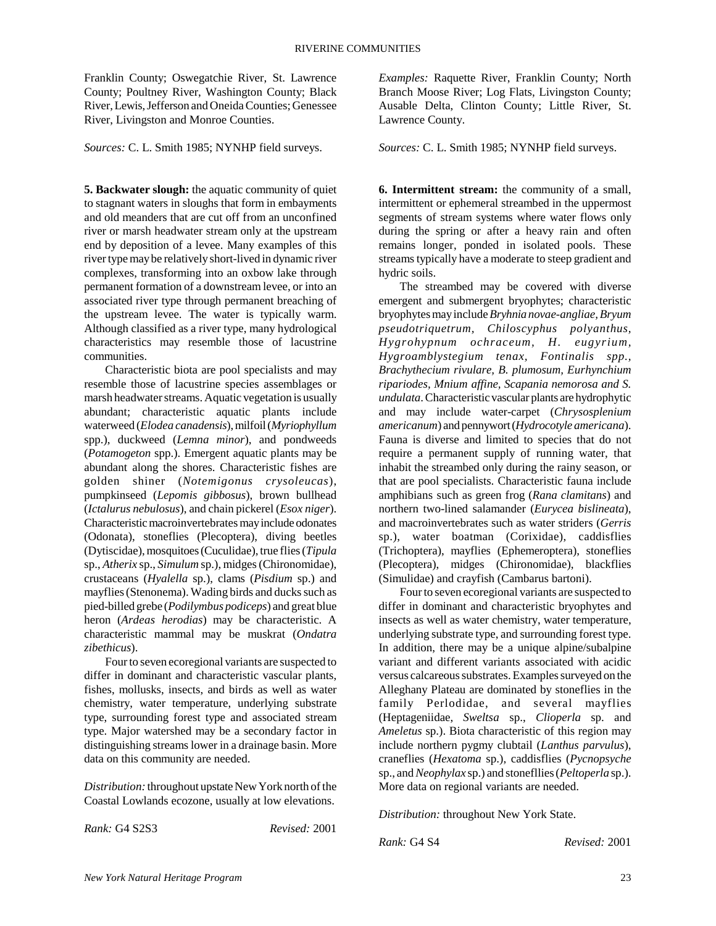Franklin County; Oswegatchie River, St. Lawrence County; Poultney River, Washington County; Black River, Lewis, Jefferson and Oneida Counties; Genessee River, Livingston and Monroe Counties.

*Sources:* C. L. Smith 1985; NYNHP field surveys.

**5. Backwater slough:** the aquatic community of quiet to stagnant waters in sloughs that form in embayments and old meanders that are cut off from an unconfined river or marsh headwater stream only at the upstream end by deposition of a levee. Many examples of this river type may be relatively short-lived in dynamic river complexes, transforming into an oxbow lake through permanent formation of a downstream levee, or into an associated river type through permanent breaching of the upstream levee. The water is typically warm. Although classified as a river type, many hydrological characteristics may resemble those of lacustrine communities.

Characteristic biota are pool specialists and may resemble those of lacustrine species assemblages or marsh headwater streams. Aquatic vegetation is usually abundant; characteristic aquatic plants include waterweed (*Elodea canadensis*), milfoil (*Myriophyllum* spp.), duckweed (*Lemna minor*), and pondweeds (*Potamogeton* spp.). Emergent aquatic plants may be abundant along the shores. Characteristic fishes are golden shiner (*Notemigonus crysoleucas*), pumpkinseed (*Lepomis gibbosus*), brown bullhead (*Ictalurus nebulosus*), and chain pickerel (*Esox niger*). Characteristic macroinvertebrates may include odonates (Odonata), stoneflies (Plecoptera), diving beetles (Dytiscidae), mosquitoes (Cuculidae), true flies (*Tipula* sp., *Atherix* sp., *Simulum* sp.), midges (Chironomidae), crustaceans (*Hyalella* sp.), clams (*Pisdium* sp.) and mayflies (Stenonema). Wading birds and ducks such as pied-billed grebe (*Podilymbus podiceps*) and great blue heron (*Ardeas herodias*) may be characteristic. A characteristic mammal may be muskrat (*Ondatra zibethicus*).

Four to seven ecoregional variants are suspected to differ in dominant and characteristic vascular plants, fishes, mollusks, insects, and birds as well as water chemistry, water temperature, underlying substrate type, surrounding forest type and associated stream type. Major watershed may be a secondary factor in distinguishing streams lower in a drainage basin. More data on this community are needed.

*Distribution:* throughout upstate New York north of the Coastal Lowlands ecozone, usually at low elevations.

*Rank:* G4 S2S3 *Revised:* 2001

*Examples:* Raquette River, Franklin County; North Branch Moose River; Log Flats, Livingston County; Ausable Delta, Clinton County; Little River, St. Lawrence County.

*Sources:* C. L. Smith 1985; NYNHP field surveys.

**6. Intermittent stream:** the community of a small, intermittent or ephemeral streambed in the uppermost segments of stream systems where water flows only during the spring or after a heavy rain and often remains longer, ponded in isolated pools. These streams typically have a moderate to steep gradient and hydric soils.

The streambed may be covered with diverse emergent and submergent bryophytes; characteristic bryophytes may include *Bryhnia novae-angliae, Bryum pseudotriquetrum, Chiloscyphus polyanthus, Hygrohypnum ochraceum, H. eugyrium, Hygroamblystegium tenax, Fontinalis spp., Brachythecium rivulare, B. plumosum, Eurhynchium ripariodes, Mnium affine, Scapania nemorosa and S. undulata*. Characteristic vascular plants are hydrophytic and may include water-carpet (*Chrysosplenium americanum*) and pennywort (*Hydrocotyle americana*). Fauna is diverse and limited to species that do not require a permanent supply of running water, that inhabit the streambed only during the rainy season, or that are pool specialists. Characteristic fauna include amphibians such as green frog (*Rana clamitans*) and northern two-lined salamander (*Eurycea bislineata*), and macroinvertebrates such as water striders (*Gerris* sp.), water boatman (Corixidae), caddisflies (Trichoptera), mayflies (Ephemeroptera), stoneflies (Plecoptera), midges (Chironomidae), blackflies (Simulidae) and crayfish (Cambarus bartoni).

Four to seven ecoregional variants are suspected to differ in dominant and characteristic bryophytes and insects as well as water chemistry, water temperature, underlying substrate type, and surrounding forest type. In addition, there may be a unique alpine/subalpine variant and different variants associated with acidic versus calcareous substrates. Examples surveyed on the Alleghany Plateau are dominated by stoneflies in the family Perlodidae, and several mayflies (Heptageniidae, *Sweltsa* sp., *Clioperla* sp. and *Ameletus* sp.). Biota characteristic of this region may include northern pygmy clubtail (*Lanthus parvulus*), craneflies (*Hexatoma* sp.), caddisflies (*Pycnopsyche* sp., and *Neophylax* sp.) and stonefllies (*Peltoperla* sp.). More data on regional variants are needed.

*Distribution:* throughout New York State.

*Rank:* G4 S4 *Revised:* 2001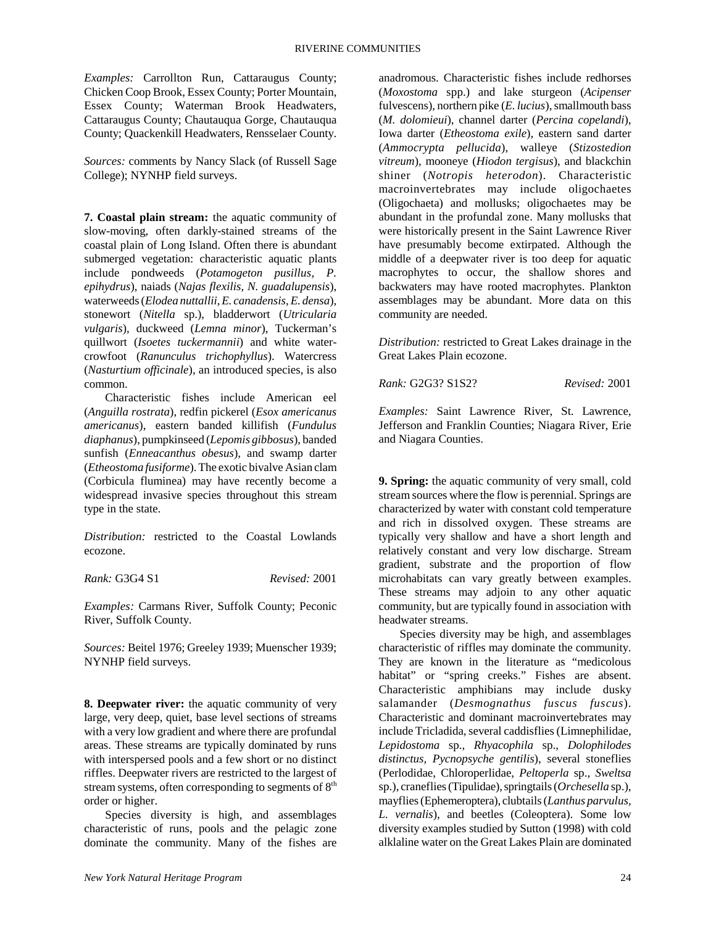*Examples:* Carrollton Run, Cattaraugus County; Chicken Coop Brook, Essex County; Porter Mountain, Essex County; Waterman Brook Headwaters, Cattaraugus County; Chautauqua Gorge, Chautauqua County; Quackenkill Headwaters, Rensselaer County.

*Sources:* comments by Nancy Slack (of Russell Sage College); NYNHP field surveys.

**7. Coastal plain stream:** the aquatic community of slow-moving, often darkly-stained streams of the coastal plain of Long Island. Often there is abundant submerged vegetation: characteristic aquatic plants include pondweeds (*Potamogeton pusillus, P. epihydrus*), naiads (*Najas flexilis, N. guadalupensis*), waterweeds (*Elodea nuttallii, E. canadensis, E. densa*), stonewort (*Nitella* sp.), bladderwort (*Utricularia vulgaris*), duckweed (*Lemna minor*), Tuckerman's quillwort (*Isoetes tuckermannii*) and white watercrowfoot (*Ranunculus trichophyllus*). Watercress (*Nasturtium officinale*), an introduced species, is also common.

Characteristic fishes include American eel (*Anguilla rostrata*), redfin pickerel (*Esox americanus americanus*), eastern banded killifish (*Fundulus diaphanus*), pumpkinseed (*Lepomis gibbosus*), banded sunfish (*Enneacanthus obesus*), and swamp darter (*Etheostoma fusiforme*). The exotic bivalve Asian clam (Corbicula fluminea) may have recently become a widespread invasive species throughout this stream type in the state.

*Distribution:* restricted to the Coastal Lowlands ecozone.

*Rank:* G3G4 S1 *Revised:* 2001

*Examples:* Carmans River, Suffolk County; Peconic River, Suffolk County.

*Sources:* Beitel 1976; Greeley 1939; Muenscher 1939; NYNHP field surveys.

**8. Deepwater river:** the aquatic community of very large, very deep, quiet, base level sections of streams with a very low gradient and where there are profundal areas. These streams are typically dominated by runs with interspersed pools and a few short or no distinct riffles. Deepwater rivers are restricted to the largest of stream systems, often corresponding to segments of 8<sup>th</sup> order or higher.

Species diversity is high, and assemblages characteristic of runs, pools and the pelagic zone dominate the community. Many of the fishes are

anadromous. Characteristic fishes include redhorses (*Moxostoma* spp.) and lake sturgeon (*Acipenser* fulvescens), northern pike (*E. lucius*), smallmouth bass (*M. dolomieui*), channel darter (*Percina copelandi*), Iowa darter (*Etheostoma exile*), eastern sand darter (*Ammocrypta pellucida*), walleye (*Stizostedion vitreum*), mooneye (*Hiodon tergisus*), and blackchin shiner (*Notropis heterodon*). Characteristic macroinvertebrates may include oligochaetes (Oligochaeta) and mollusks; oligochaetes may be abundant in the profundal zone. Many mollusks that were historically present in the Saint Lawrence River have presumably become extirpated. Although the middle of a deepwater river is too deep for aquatic macrophytes to occur, the shallow shores and backwaters may have rooted macrophytes. Plankton assemblages may be abundant. More data on this community are needed.

*Distribution:* restricted to Great Lakes drainage in the Great Lakes Plain ecozone.

*Rank:* G2G3? S1S2? *Revised:* 2001

*Examples:* Saint Lawrence River, St. Lawrence, Jefferson and Franklin Counties; Niagara River, Erie and Niagara Counties.

**9. Spring:** the aquatic community of very small, cold stream sources where the flow is perennial. Springs are characterized by water with constant cold temperature and rich in dissolved oxygen. These streams are typically very shallow and have a short length and relatively constant and very low discharge. Stream gradient, substrate and the proportion of flow microhabitats can vary greatly between examples. These streams may adjoin to any other aquatic community, but are typically found in association with headwater streams.

Species diversity may be high, and assemblages characteristic of riffles may dominate the community. They are known in the literature as "medicolous habitat" or "spring creeks." Fishes are absent. Characteristic amphibians may include dusky salamander (*Desmognathus fuscus fuscus*). Characteristic and dominant macroinvertebrates may include Tricladida, several caddisflies (Limnephilidae, *Lepidostoma* sp., *Rhyacophila* sp., *Dolophilodes distinctus, Pycnopsyche gentilis*), several stoneflies (Perlodidae, Chloroperlidae, *Peltoperla* sp., *Sweltsa* sp.), craneflies (Tipulidae), springtails (*Orchesella* sp.), mayflies (Ephemeroptera), clubtails (*Lanthus parvulus, L. vernalis*), and beetles (Coleoptera). Some low diversity examples studied by Sutton (1998) with cold alklaline water on the Great Lakes Plain are dominated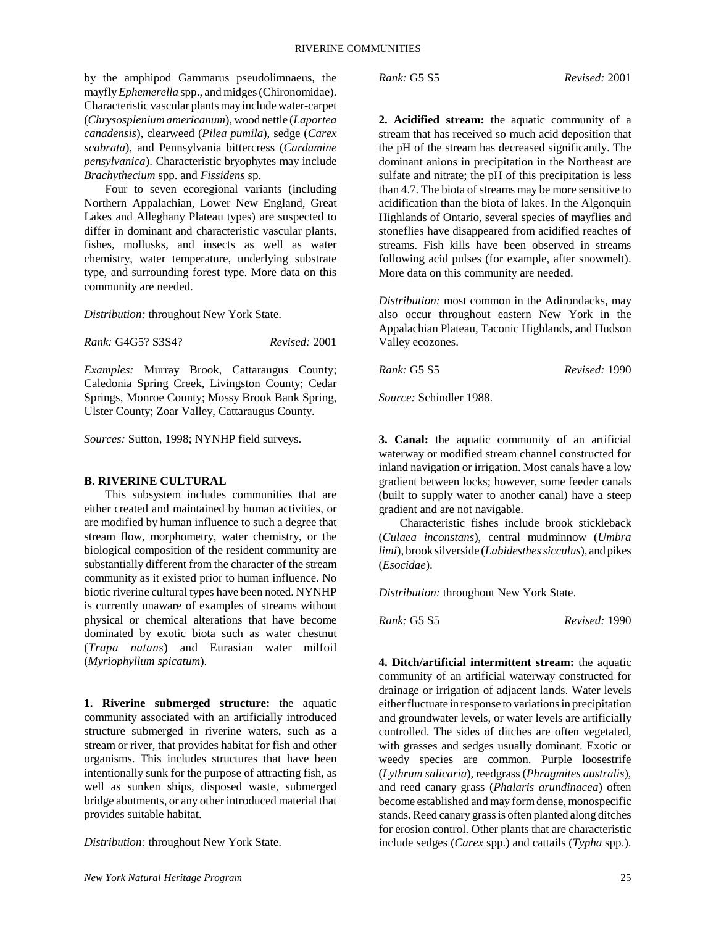by the amphipod Gammarus pseudolimnaeus, the mayfly *Ephemerella* spp., and midges (Chironomidae). Characteristic vascular plants may include water-carpet (*Chrysosplenium americanum*), wood nettle (*Laportea canadensis*), clearweed (*Pilea pumila*), sedge (*Carex scabrata*), and Pennsylvania bittercress (*Cardamine pensylvanica*). Characteristic bryophytes may include *Brachythecium* spp. and *Fissidens* sp.

Four to seven ecoregional variants (including Northern Appalachian, Lower New England, Great Lakes and Alleghany Plateau types) are suspected to differ in dominant and characteristic vascular plants, fishes, mollusks, and insects as well as water chemistry, water temperature, underlying substrate type, and surrounding forest type. More data on this community are needed.

*Distribution:* throughout New York State.

*Rank:* G4G5? S3S4? *Revised:* 2001

*Examples:* Murray Brook, Cattaraugus County; Caledonia Spring Creek, Livingston County; Cedar Springs, Monroe County; Mossy Brook Bank Spring, Ulster County; Zoar Valley, Cattaraugus County.

*Sources:* Sutton, 1998; NYNHP field surveys.

### **B. RIVERINE CULTURAL**

This subsystem includes communities that are either created and maintained by human activities, or are modified by human influence to such a degree that stream flow, morphometry, water chemistry, or the biological composition of the resident community are substantially different from the character of the stream community as it existed prior to human influence. No biotic riverine cultural types have been noted. NYNHP is currently unaware of examples of streams without physical or chemical alterations that have become dominated by exotic biota such as water chestnut (*Trapa natans*) and Eurasian water milfoil (*Myriophyllum spicatum*).

**1. Riverine submerged structure:** the aquatic community associated with an artificially introduced structure submerged in riverine waters, such as a stream or river, that provides habitat for fish and other organisms. This includes structures that have been intentionally sunk for the purpose of attracting fish, as well as sunken ships, disposed waste, submerged bridge abutments, or any other introduced material that provides suitable habitat.

*Distribution:* throughout New York State.

**2. Acidified stream:** the aquatic community of a stream that has received so much acid deposition that the pH of the stream has decreased significantly. The dominant anions in precipitation in the Northeast are sulfate and nitrate; the pH of this precipitation is less than 4.7. The biota of streams may be more sensitive to acidification than the biota of lakes. In the Algonquin Highlands of Ontario, several species of mayflies and stoneflies have disappeared from acidified reaches of streams. Fish kills have been observed in streams following acid pulses (for example, after snowmelt). More data on this community are needed.

*Distribution:* most common in the Adirondacks, may also occur throughout eastern New York in the Appalachian Plateau, Taconic Highlands, and Hudson Valley ecozones.

*Rank:* G5 S5 *Revised:* 1990

*Source:* Schindler 1988.

**3. Canal:** the aquatic community of an artificial waterway or modified stream channel constructed for inland navigation or irrigation. Most canals have a low gradient between locks; however, some feeder canals (built to supply water to another canal) have a steep gradient and are not navigable.

Characteristic fishes include brook stickleback (*Culaea inconstans*), central mudminnow (*Umbra limi*), brook silverside (*Labidesthes sicculus*), and pikes (*Esocidae*).

*Distribution:* throughout New York State.

*Rank:* G5 S5 *Revised:* 1990

**4. Ditch/artificial intermittent stream:** the aquatic community of an artificial waterway constructed for drainage or irrigation of adjacent lands. Water levels either fluctuate in response to variations in precipitation and groundwater levels, or water levels are artificially controlled. The sides of ditches are often vegetated, with grasses and sedges usually dominant. Exotic or weedy species are common. Purple loosestrife (*Lythrum salicaria*), reedgrass (*Phragmites australis*), and reed canary grass (*Phalaris arundinacea*) often become established and may form dense, monospecific stands. Reed canary grass is often planted along ditches for erosion control. Other plants that are characteristic include sedges (*Carex* spp.) and cattails (*Typha* spp.).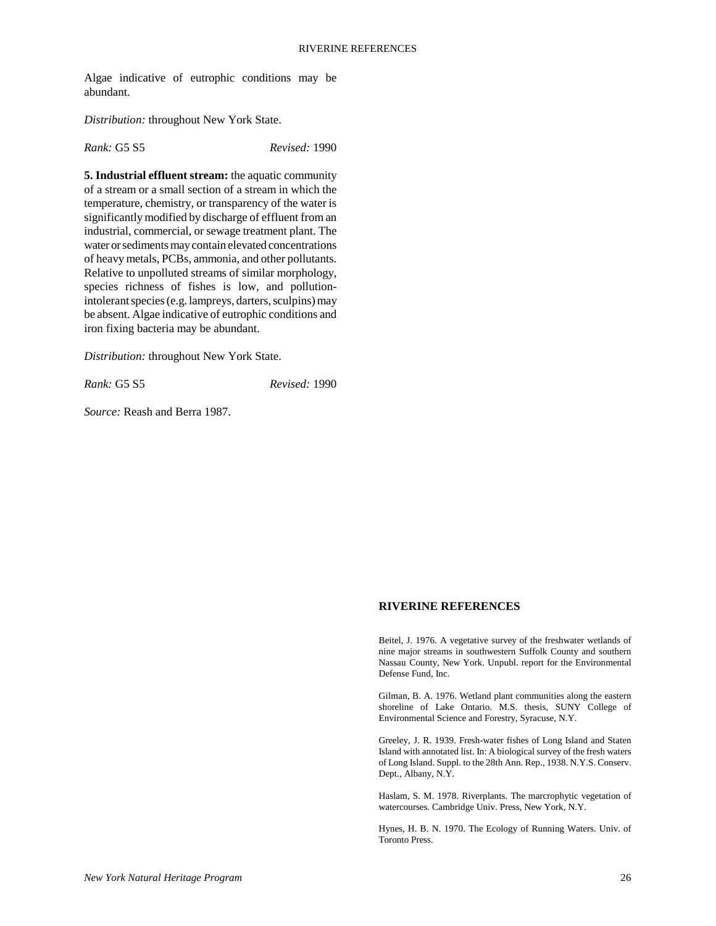Algae indicative of eutrophic conditions may be abundant.

*Distribution:* throughout New York State.

*Rank:* G5 S5 *Revised:* 1990

**5. Industrial effluent stream:** the aquatic community of a stream or a small section of a stream in which the temperature, chemistry, or transparency of the water is significantly modified by discharge of effluent from an industrial, commercial, or sewage treatment plant. The water or sediments may contain elevated concentrations of heavy metals, PCBs, ammonia, and other pollutants. Relative to unpolluted streams of similar morphology, species richness of fishes is low, and pollutionintolerant species (e.g. lampreys, darters, sculpins) may be absent. Algae indicative of eutrophic conditions and iron fixing bacteria may be abundant.

*Distribution:* throughout New York State.

*Rank:* G5 S5 *Revised:* 1990

*Source:* Reash and Berra 1987.

#### **RIVERINE REFERENCES**

Beitel, J. 1976. A vegetative survey of the freshwater wetlands of nine major streams in southwestern Suffolk County and southern Nassau County, New York. Unpubl. report for the Environmental Defense Fund, Inc.

Gilman, B. A. 1976. Wetland plant communities along the eastern shoreline of Lake Ontario. M.S. thesis, SUNY College of Environmental Science and Forestry, Syracuse, N.Y.

Greeley, J. R. 1939. Fresh-water fishes of Long Island and Staten Island with annotated list. In: A biological survey of the fresh waters of Long Island. Suppl. to the 28th Ann. Rep., 1938. N.Y.S. Conserv. Dept., Albany, N.Y.

Haslam, S. M. 1978. Riverplants. The marcrophytic vegetation of watercourses. Cambridge Univ. Press, New York, N.Y.

Hynes, H. B. N. 1970. The Ecology of Running Waters. Univ. of Toronto Press.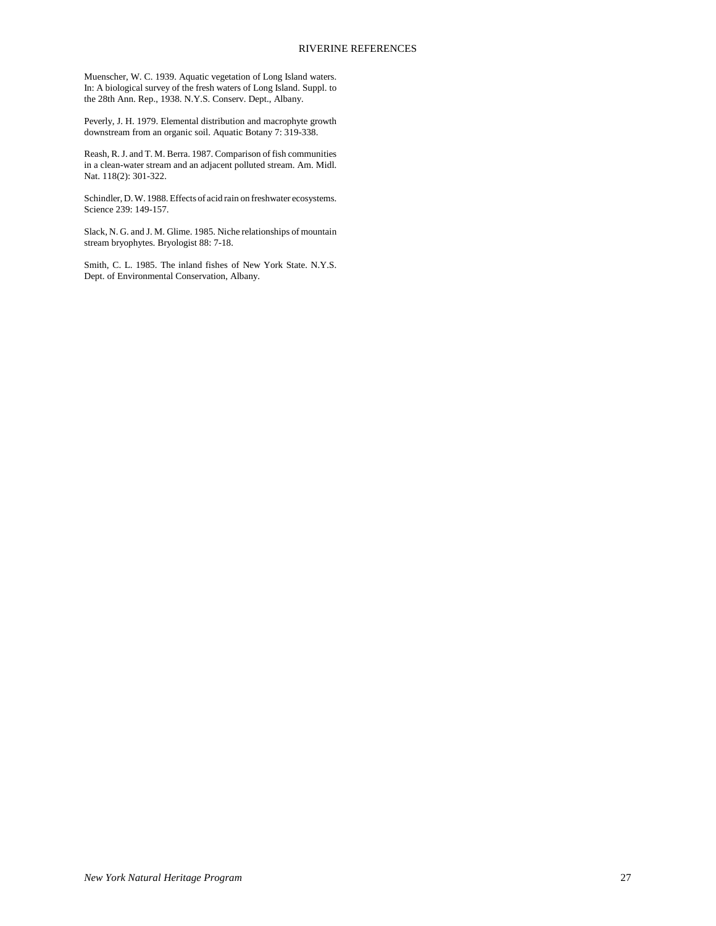Muenscher, W. C. 1939. Aquatic vegetation of Long Island waters. In: A biological survey of the fresh waters of Long Island. Suppl. to the 28th Ann. Rep., 1938. N.Y.S. Conserv. Dept., Albany.

Peverly, J. H. 1979. Elemental distribution and macrophyte growth downstream from an organic soil. Aquatic Botany 7: 319-338.

Reash, R. J. and T. M. Berra. 1987. Comparison of fish communities in a clean-water stream and an adjacent polluted stream. Am. Midl. Nat. 118(2): 301-322.

Schindler, D. W. 1988. Effects of acid rain on freshwater ecosystems. Science 239: 149-157.

Slack, N. G. and J. M. Glime. 1985. Niche relationships of mountain stream bryophytes. Bryologist 88: 7-18.

Smith, C. L. 1985. The inland fishes of New York State. N.Y.S. Dept. of Environmental Conservation, Albany.